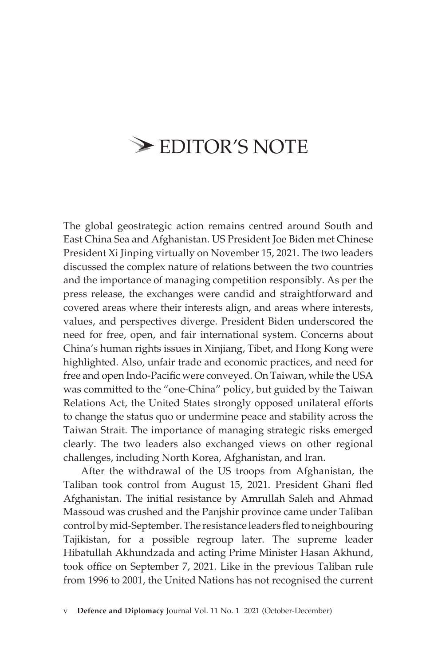## **EDITOR'S NOTE**

The global geostrategic action remains centred around South and East China Sea and Afghanistan. US President Joe Biden met Chinese President Xi Jinping virtually on November 15, 2021. The two leaders discussed the complex nature of relations between the two countries and the importance of managing competition responsibly. As per the press release, the exchanges were candid and straightforward and covered areas where their interests align, and areas where interests, values, and perspectives diverge. President Biden underscored the need for free, open, and fair international system. Concerns about China's human rights issues in Xinjiang, Tibet, and Hong Kong were highlighted. Also, unfair trade and economic practices, and need for free and open Indo-Pacific were conveyed. On Taiwan, while the USA was committed to the "one-China" policy, but guided by the Taiwan Relations Act, the United States strongly opposed unilateral efforts to change the status quo or undermine peace and stability across the Taiwan Strait. The importance of managing strategic risks emerged clearly. The two leaders also exchanged views on other regional challenges, including North Korea, Afghanistan, and Iran.

After the withdrawal of the US troops from Afghanistan, the Taliban took control from August 15, 2021. President Ghani fled Afghanistan. The initial resistance by Amrullah Saleh and Ahmad Massoud was crushed and the Panjshir province came under Taliban control by mid-September. The resistance leaders fled to neighbouring Tajikistan, for a possible regroup later. The supreme leader Hibatullah Akhundzada and acting Prime Minister Hasan Akhund, took office on September 7, 2021. Like in the previous Taliban rule from 1996 to 2001, the United Nations has not recognised the current

v **Defence and Diplomacy** Journal Vol. 11 No. 1 2021 (October-December)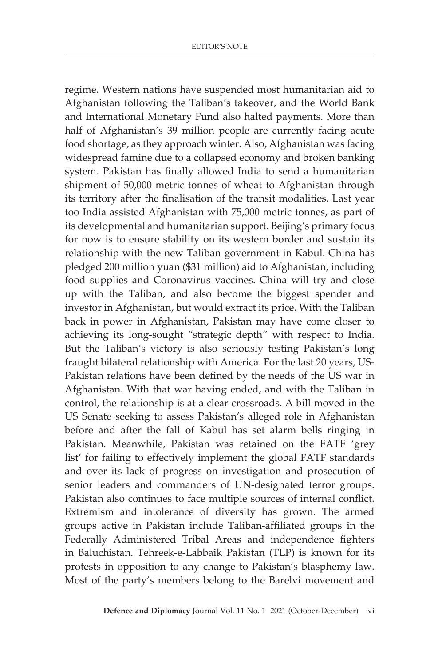regime. Western nations have suspended most humanitarian aid to Afghanistan following the Taliban's takeover, and the World Bank and International Monetary Fund also halted payments. More than half of Afghanistan's 39 million people are currently facing acute food shortage, as they approach winter. Also, Afghanistan was facing widespread famine due to a collapsed economy and broken banking system. Pakistan has finally allowed India to send a humanitarian shipment of 50,000 metric tonnes of wheat to Afghanistan through its territory after the finalisation of the transit modalities. Last year too India assisted Afghanistan with 75,000 metric tonnes, as part of its developmental and humanitarian support. Beijing's primary focus for now is to ensure stability on its western border and sustain its relationship with the new Taliban government in Kabul. China has pledged 200 million yuan (\$31 million) aid to Afghanistan, including food supplies and Coronavirus vaccines. China will try and close up with the Taliban, and also become the biggest spender and investor in Afghanistan, but would extract its price. With the Taliban back in power in Afghanistan, Pakistan may have come closer to achieving its long-sought "strategic depth" with respect to India. But the Taliban's victory is also seriously testing Pakistan's long fraught bilateral relationship with America. For the last 20 years, US-Pakistan relations have been defined by the needs of the US war in Afghanistan. With that war having ended, and with the Taliban in control, the relationship is at a clear crossroads. A bill moved in the US Senate seeking to assess Pakistan's alleged role in Afghanistan before and after the fall of Kabul has set alarm bells ringing in Pakistan. Meanwhile, Pakistan was retained on the FATF 'grey list' for failing to effectively implement the global FATF standards and over its lack of progress on investigation and prosecution of senior leaders and commanders of UN-designated terror groups. Pakistan also continues to face multiple sources of internal conflict. Extremism and intolerance of diversity has grown. The armed groups active in Pakistan include Taliban-affiliated groups in the Federally Administered Tribal Areas and independence fighters in Baluchistan. Tehreek-e-Labbaik Pakistan (TLP) is known for its protests in opposition to any change to Pakistan's blasphemy law. Most of the party's members belong to the Barelvi movement and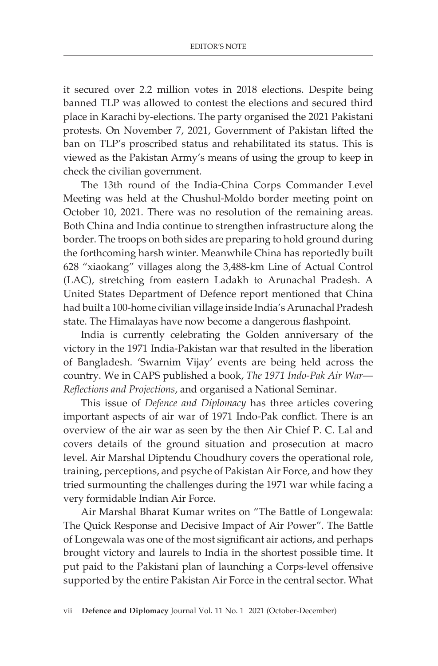it secured over 2.2 million votes in 2018 elections. Despite being banned TLP was allowed to contest the elections and secured third place in Karachi by-elections. The party organised the 2021 Pakistani protests. On November 7, 2021, Government of Pakistan lifted the ban on TLP's proscribed status and rehabilitated its status. This is viewed as the Pakistan Army's means of using the group to keep in check the civilian government.

The 13th round of the India-China Corps Commander Level Meeting was held at the Chushul-Moldo border meeting point on October 10, 2021. There was no resolution of the remaining areas. Both China and India continue to strengthen infrastructure along the border. The troops on both sides are preparing to hold ground during the forthcoming harsh winter. Meanwhile China has reportedly built 628 "xiaokang" villages along the 3,488-km Line of Actual Control (LAC), stretching from eastern Ladakh to Arunachal Pradesh. A United States Department of Defence report mentioned that China had built a 100-home civilian village inside India's Arunachal Pradesh state. The Himalayas have now become a dangerous flashpoint.

India is currently celebrating the Golden anniversary of the victory in the 1971 India-Pakistan war that resulted in the liberation of Bangladesh. 'Swarnim Vijay' events are being held across the country. We in CAPS published a book, *The 1971 Indo-Pak Air War— Reflections and Projections*, and organised a National Seminar.

This issue of *Defence and Diplomacy* has three articles covering important aspects of air war of 1971 Indo-Pak conflict. There is an overview of the air war as seen by the then Air Chief P. C. Lal and covers details of the ground situation and prosecution at macro level. Air Marshal Diptendu Choudhury covers the operational role, training, perceptions, and psyche of Pakistan Air Force, and how they tried surmounting the challenges during the 1971 war while facing a very formidable Indian Air Force.

Air Marshal Bharat Kumar writes on "The Battle of Longewala: The Quick Response and Decisive Impact of Air Power". The Battle of Longewala was one of the most significant air actions, and perhaps brought victory and laurels to India in the shortest possible time. It put paid to the Pakistani plan of launching a Corps-level offensive supported by the entire Pakistan Air Force in the central sector. What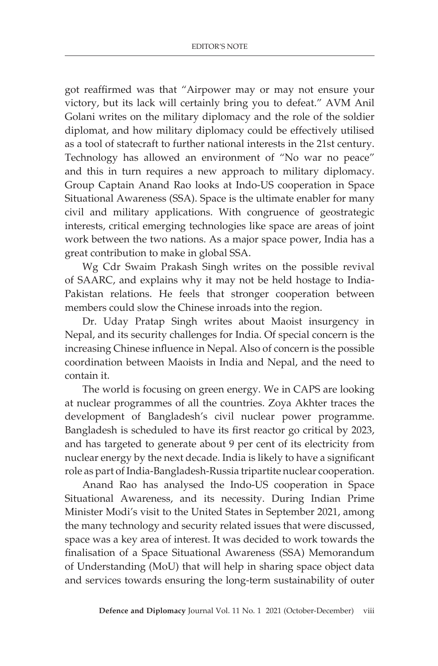got reaffirmed was that "Airpower may or may not ensure your victory, but its lack will certainly bring you to defeat." AVM Anil Golani writes on the military diplomacy and the role of the soldier diplomat, and how military diplomacy could be effectively utilised as a tool of statecraft to further national interests in the 21st century. Technology has allowed an environment of "No war no peace" and this in turn requires a new approach to military diplomacy. Group Captain Anand Rao looks at Indo-US cooperation in Space Situational Awareness (SSA). Space is the ultimate enabler for many civil and military applications. With congruence of geostrategic interests, critical emerging technologies like space are areas of joint work between the two nations. As a major space power, India has a great contribution to make in global SSA.

Wg Cdr Swaim Prakash Singh writes on the possible revival of SAARC, and explains why it may not be held hostage to India-Pakistan relations. He feels that stronger cooperation between members could slow the Chinese inroads into the region.

Dr. Uday Pratap Singh writes about Maoist insurgency in Nepal, and its security challenges for India. Of special concern is the increasing Chinese influence in Nepal. Also of concern is the possible coordination between Maoists in India and Nepal, and the need to contain it.

The world is focusing on green energy. We in CAPS are looking at nuclear programmes of all the countries. Zoya Akhter traces the development of Bangladesh's civil nuclear power programme. Bangladesh is scheduled to have its first reactor go critical by 2023, and has targeted to generate about 9 per cent of its electricity from nuclear energy by the next decade. India is likely to have a significant role as part of India-Bangladesh-Russia tripartite nuclear cooperation.

Anand Rao has analysed the Indo-US cooperation in Space Situational Awareness, and its necessity. During Indian Prime Minister Modi's visit to the United States in September 2021, among the many technology and security related issues that were discussed, space was a key area of interest. It was decided to work towards the finalisation of a Space Situational Awareness (SSA) Memorandum of Understanding (MoU) that will help in sharing space object data and services towards ensuring the long-term sustainability of outer